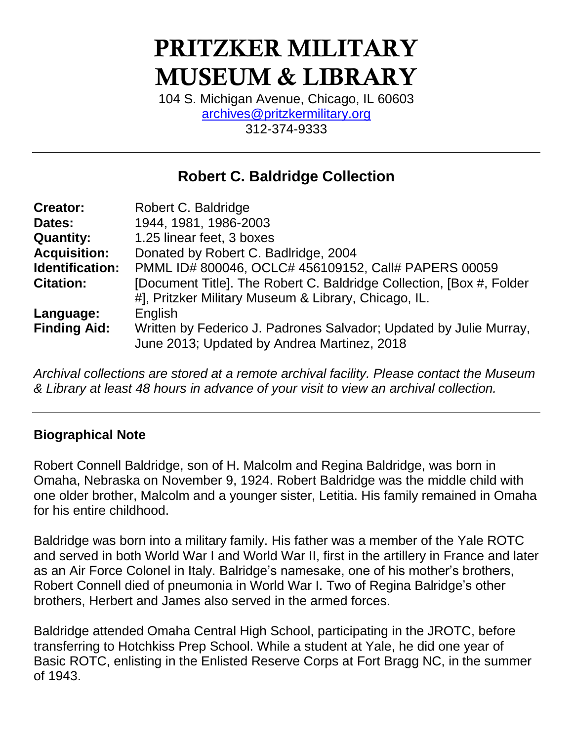# **PRITZKER MILITARY MUSEUM & LIBRARY**

104 S. Michigan Avenue, Chicago, IL 60603 [archives@pritzkermilitary.org](mailto:archives@pritzkermilitary.org) 312-374-9333

# **Robert C. Baldridge Collection**

| <b>Creator:</b>     | Robert C. Baldridge                                                                                               |
|---------------------|-------------------------------------------------------------------------------------------------------------------|
| Dates:              | 1944, 1981, 1986-2003                                                                                             |
| <b>Quantity:</b>    | 1.25 linear feet, 3 boxes                                                                                         |
| <b>Acquisition:</b> | Donated by Robert C. Badlridge, 2004                                                                              |
| Identification:     | PMML ID# 800046, OCLC# 456109152, Call# PAPERS 00059                                                              |
| <b>Citation:</b>    | [Document Title]. The Robert C. Baldridge Collection, [Box #, Folder                                              |
|                     | #], Pritzker Military Museum & Library, Chicago, IL.                                                              |
| Language:           | English                                                                                                           |
| <b>Finding Aid:</b> | Written by Federico J. Padrones Salvador; Updated by Julie Murray,<br>June 2013; Updated by Andrea Martinez, 2018 |

*Archival collections are stored at a remote archival facility. Please contact the Museum & Library at least 48 hours in advance of your visit to view an archival collection.*

### **Biographical Note**

Robert Connell Baldridge, son of H. Malcolm and Regina Baldridge, was born in Omaha, Nebraska on November 9, 1924. Robert Baldridge was the middle child with one older brother, Malcolm and a younger sister, Letitia. His family remained in Omaha for his entire childhood.

Baldridge was born into a military family. His father was a member of the Yale ROTC and served in both World War I and World War II, first in the artillery in France and later as an Air Force Colonel in Italy. Balridge's namesake, one of his mother's brothers, Robert Connell died of pneumonia in World War I. Two of Regina Balridge's other brothers, Herbert and James also served in the armed forces.

Baldridge attended Omaha Central High School, participating in the JROTC, before transferring to Hotchkiss Prep School. While a student at Yale, he did one year of Basic ROTC, enlisting in the Enlisted Reserve Corps at Fort Bragg NC, in the summer of 1943.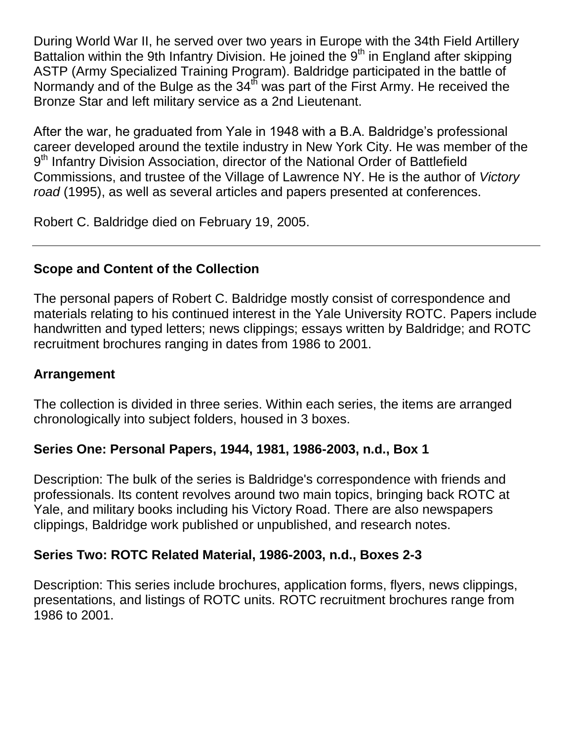During World War II, he served over two years in Europe with the 34th Field Artillery Battalion within the 9th Infantry Division. He joined the 9<sup>th</sup> in England after skipping ASTP (Army Specialized Training Program). Baldridge participated in the battle of Normandy and of the Bulge as the 34<sup>th</sup> was part of the First Army. He received the Bronze Star and left military service as a 2nd Lieutenant.

After the war, he graduated from Yale in 1948 with a B.A. Baldridge's professional career developed around the textile industry in New York City. He was member of the 9<sup>th</sup> Infantry Division Association, director of the National Order of Battlefield Commissions, and trustee of the Village of Lawrence NY. He is the author of *Victory road* (1995), as well as several articles and papers presented at conferences.

Robert C. Baldridge died on February 19, 2005.

# **Scope and Content of the Collection**

The personal papers of Robert C. Baldridge mostly consist of correspondence and materials relating to his continued interest in the Yale University ROTC. Papers include handwritten and typed letters; news clippings; essays written by Baldridge; and ROTC recruitment brochures ranging in dates from 1986 to 2001.

## **Arrangement**

The collection is divided in three series. Within each series, the items are arranged chronologically into subject folders, housed in 3 boxes.

### **Series One: Personal Papers, 1944, 1981, 1986-2003, n.d., Box 1**

Description: The bulk of the series is Baldridge's correspondence with friends and professionals. Its content revolves around two main topics, bringing back ROTC at Yale, and military books including his Victory Road. There are also newspapers clippings, Baldridge work published or unpublished, and research notes.

### **Series Two: ROTC Related Material, 1986-2003, n.d., Boxes 2-3**

Description: This series include brochures, application forms, flyers, news clippings, presentations, and listings of ROTC units. ROTC recruitment brochures range from 1986 to 2001.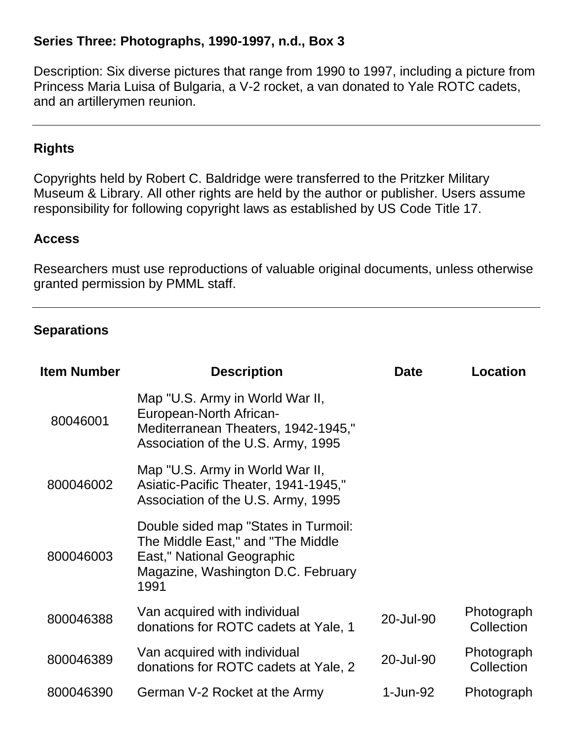#### **Series Three: Photographs, 1990-1997, n.d., Box 3**

Description: Six diverse pictures that range from 1990 to 1997, including a picture from Princess Maria Luisa of Bulgaria, a V-2 rocket, a van donated to Yale ROTC cadets, and an artillerymen reunion.

#### **Rights**

Copyrights held by Robert C. Baldridge were transferred to the Pritzker Military Museum & Library. All other rights are held by the author or publisher. Users assume responsibility for following copyright laws as established by US Code Title 17.

#### **Access**

Researchers must use reproductions of valuable original documents, unless otherwise granted permission by PMML staff.

#### **Separations**

| <b>Item Number</b> | <b>Description</b>                                                                                                                                    | <b>Date</b> | Location                 |
|--------------------|-------------------------------------------------------------------------------------------------------------------------------------------------------|-------------|--------------------------|
| 80046001           | Map "U.S. Army in World War II,<br>European-North African-<br>Mediterranean Theaters, 1942-1945,"<br>Association of the U.S. Army, 1995               |             |                          |
| 800046002          | Map "U.S. Army in World War II,<br>Asiatic-Pacific Theater, 1941-1945,"<br>Association of the U.S. Army, 1995                                         |             |                          |
| 800046003          | Double sided map "States in Turmoil:<br>The Middle East," and "The Middle<br>East," National Geographic<br>Magazine, Washington D.C. February<br>1991 |             |                          |
| 800046388          | Van acquired with individual<br>donations for ROTC cadets at Yale, 1                                                                                  | 20-Jul-90   | Photograph<br>Collection |
| 800046389          | Van acquired with individual<br>donations for ROTC cadets at Yale, 2                                                                                  | 20-Jul-90   | Photograph<br>Collection |
| 800046390          | German V-2 Rocket at the Army                                                                                                                         | 1-Jun-92    | Photograph               |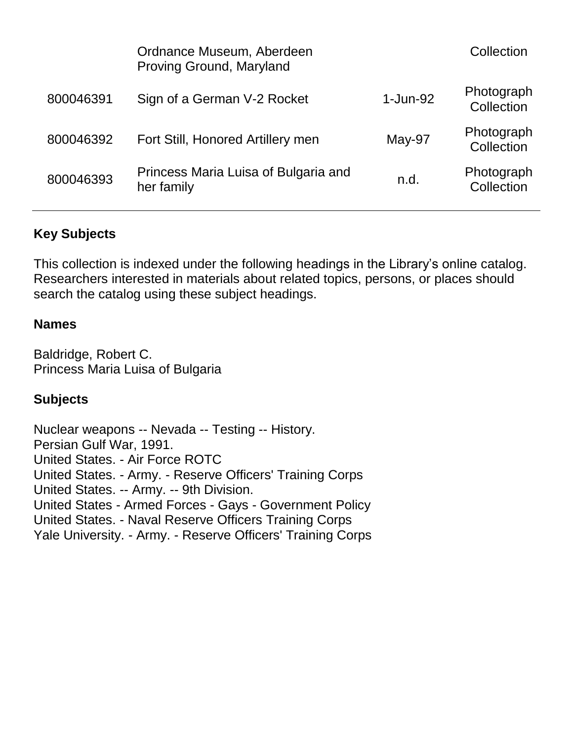|           | Ordnance Museum, Aberdeen<br>Proving Ground, Maryland |          | Collection               |
|-----------|-------------------------------------------------------|----------|--------------------------|
| 800046391 | Sign of a German V-2 Rocket                           | 1-Jun-92 | Photograph<br>Collection |
| 800046392 | Fort Still, Honored Artillery men                     | May-97   | Photograph<br>Collection |
| 800046393 | Princess Maria Luisa of Bulgaria and<br>her family    | n.d.     | Photograph<br>Collection |

# **Key Subjects**

This collection is indexed under the following headings in the Library's online catalog. Researchers interested in materials about related topics, persons, or places should search the catalog using these subject headings.

#### **Names**

Baldridge, Robert C. Princess Maria Luisa of Bulgaria

### **Subjects**

Nuclear weapons -- Nevada -- Testing -- History. Persian Gulf War, 1991. United States. - Air Force ROTC United States. - Army. - Reserve Officers' Training Corps United States. -- Army. -- 9th Division. United States - Armed Forces - Gays - Government Policy United States. - Naval Reserve Officers Training Corps Yale University. - Army. - Reserve Officers' Training Corps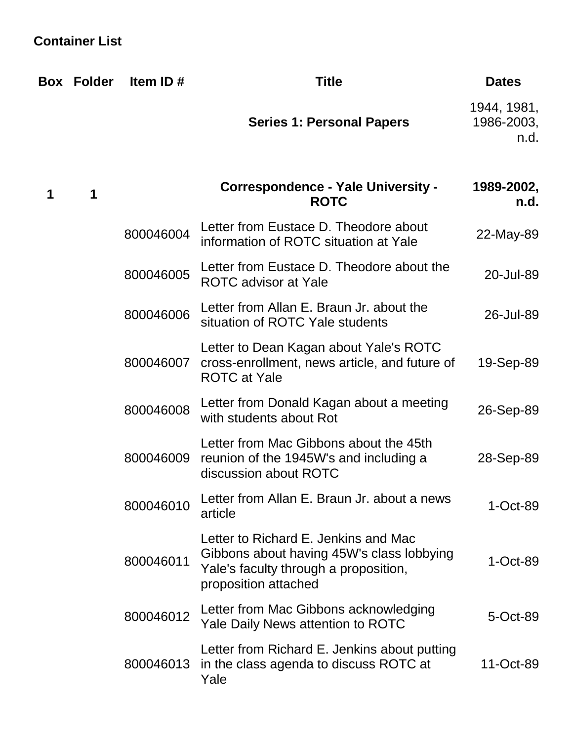# **Container List**

|   | <b>Box Folder</b> | Item ID#  | <b>Title</b>                                                                                                                                       | <b>Dates</b>                      |
|---|-------------------|-----------|----------------------------------------------------------------------------------------------------------------------------------------------------|-----------------------------------|
|   |                   |           | <b>Series 1: Personal Papers</b>                                                                                                                   | 1944, 1981,<br>1986-2003,<br>n.d. |
| 1 | 1                 |           | <b>Correspondence - Yale University -</b><br><b>ROTC</b>                                                                                           | 1989-2002,<br>n.d.                |
|   |                   | 800046004 | Letter from Eustace D. Theodore about<br>information of ROTC situation at Yale                                                                     | 22-May-89                         |
|   |                   | 800046005 | Letter from Eustace D. Theodore about the<br><b>ROTC</b> advisor at Yale                                                                           | 20-Jul-89                         |
|   |                   | 800046006 | Letter from Allan E. Braun Jr. about the<br>situation of ROTC Yale students                                                                        | 26-Jul-89                         |
|   |                   | 800046007 | Letter to Dean Kagan about Yale's ROTC<br>cross-enrollment, news article, and future of<br><b>ROTC</b> at Yale                                     | 19-Sep-89                         |
|   |                   | 800046008 | Letter from Donald Kagan about a meeting<br>with students about Rot                                                                                | 26-Sep-89                         |
|   |                   | 800046009 | Letter from Mac Gibbons about the 45th<br>reunion of the 1945W's and including a<br>discussion about ROTC                                          | 28-Sep-89                         |
|   |                   | 800046010 | Letter from Allan E. Braun Jr. about a news<br>article                                                                                             | $1$ -Oct-89                       |
|   |                   | 800046011 | Letter to Richard E. Jenkins and Mac<br>Gibbons about having 45W's class lobbying<br>Yale's faculty through a proposition,<br>proposition attached | $1-Cct-89$                        |
|   |                   | 800046012 | Letter from Mac Gibbons acknowledging<br>Yale Daily News attention to ROTC                                                                         | 5-Oct-89                          |
|   |                   | 800046013 | Letter from Richard E. Jenkins about putting<br>in the class agenda to discuss ROTC at<br>Yale                                                     | 11-Oct-89                         |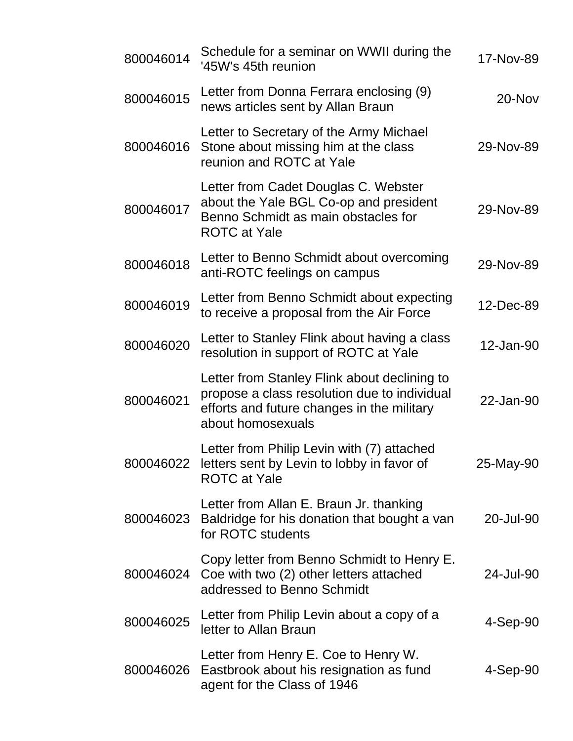| 800046014 | Schedule for a seminar on WWII during the<br>'45W's 45th reunion                                                                                                | 17-Nov-89 |
|-----------|-----------------------------------------------------------------------------------------------------------------------------------------------------------------|-----------|
| 800046015 | Letter from Donna Ferrara enclosing (9)<br>news articles sent by Allan Braun                                                                                    | 20-Nov    |
| 800046016 | Letter to Secretary of the Army Michael<br>Stone about missing him at the class<br>reunion and ROTC at Yale                                                     | 29-Nov-89 |
| 800046017 | Letter from Cadet Douglas C. Webster<br>about the Yale BGL Co-op and president<br>Benno Schmidt as main obstacles for<br><b>ROTC</b> at Yale                    | 29-Nov-89 |
| 800046018 | Letter to Benno Schmidt about overcoming<br>anti-ROTC feelings on campus                                                                                        | 29-Nov-89 |
| 800046019 | Letter from Benno Schmidt about expecting<br>to receive a proposal from the Air Force                                                                           | 12-Dec-89 |
| 800046020 | Letter to Stanley Flink about having a class<br>resolution in support of ROTC at Yale                                                                           | 12-Jan-90 |
| 800046021 | Letter from Stanley Flink about declining to<br>propose a class resolution due to individual<br>efforts and future changes in the military<br>about homosexuals | 22-Jan-90 |
|           | Letter from Philip Levin with (7) attached<br>800046022 letters sent by Levin to lobby in favor of<br><b>ROTC</b> at Yale                                       | 25-May-90 |
| 800046023 | Letter from Allan E. Braun Jr. thanking<br>Baldridge for his donation that bought a van<br>for ROTC students                                                    | 20-Jul-90 |
| 800046024 | Copy letter from Benno Schmidt to Henry E.<br>Coe with two (2) other letters attached<br>addressed to Benno Schmidt                                             | 24-Jul-90 |
| 800046025 | Letter from Philip Levin about a copy of a<br>letter to Allan Braun                                                                                             | 4-Sep-90  |
| 800046026 | Letter from Henry E. Coe to Henry W.<br>Eastbrook about his resignation as fund<br>agent for the Class of 1946                                                  | 4-Sep-90  |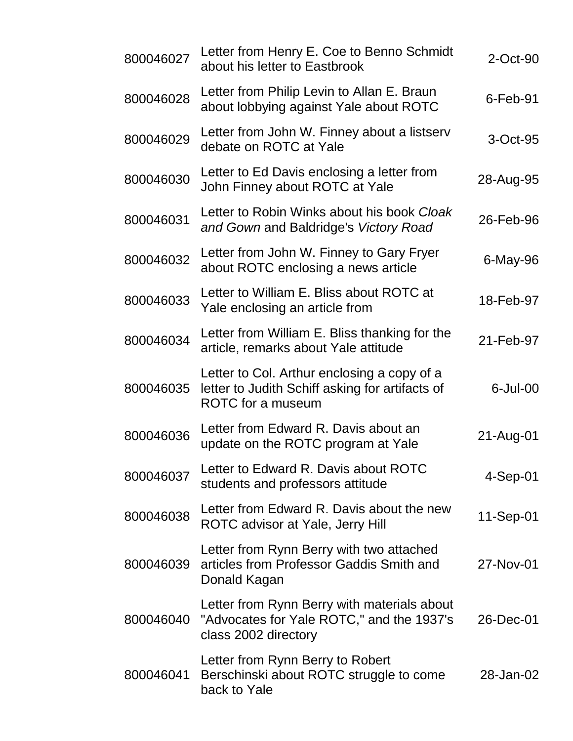| 800046027 | Letter from Henry E. Coe to Benno Schmidt<br>about his letter to Eastbrook                                                 | $2$ -Oct-90 |
|-----------|----------------------------------------------------------------------------------------------------------------------------|-------------|
| 800046028 | Letter from Philip Levin to Allan E. Braun<br>about lobbying against Yale about ROTC                                       | $6$ -Feb-91 |
| 800046029 | Letter from John W. Finney about a listserv<br>debate on ROTC at Yale                                                      | 3-Oct-95    |
| 800046030 | Letter to Ed Davis enclosing a letter from<br>John Finney about ROTC at Yale                                               | 28-Aug-95   |
| 800046031 | Letter to Robin Winks about his book Cloak<br>and Gown and Baldridge's Victory Road                                        | 26-Feb-96   |
| 800046032 | Letter from John W. Finney to Gary Fryer<br>about ROTC enclosing a news article                                            | 6-May-96    |
| 800046033 | Letter to William E. Bliss about ROTC at<br>Yale enclosing an article from                                                 | 18-Feb-97   |
| 800046034 | Letter from William E. Bliss thanking for the<br>article, remarks about Yale attitude                                      | 21-Feb-97   |
| 800046035 | Letter to Col. Arthur enclosing a copy of a<br>letter to Judith Schiff asking for artifacts of<br><b>ROTC</b> for a museum | $6$ -Jul-00 |
| 800046036 | Letter from Edward R. Davis about an<br>update on the ROTC program at Yale                                                 | 21-Aug-01   |
| 800046037 | Letter to Edward R. Davis about ROTC<br>students and professors attitude                                                   | $4-Sep-01$  |
| 800046038 | Letter from Edward R. Davis about the new<br>ROTC advisor at Yale, Jerry Hill                                              | 11-Sep-01   |
| 800046039 | Letter from Rynn Berry with two attached<br>articles from Professor Gaddis Smith and<br>Donald Kagan                       | 27-Nov-01   |
| 800046040 | Letter from Rynn Berry with materials about<br>"Advocates for Yale ROTC," and the 1937's<br>class 2002 directory           | 26-Dec-01   |
| 800046041 | Letter from Rynn Berry to Robert<br>Berschinski about ROTC struggle to come<br>back to Yale                                | 28-Jan-02   |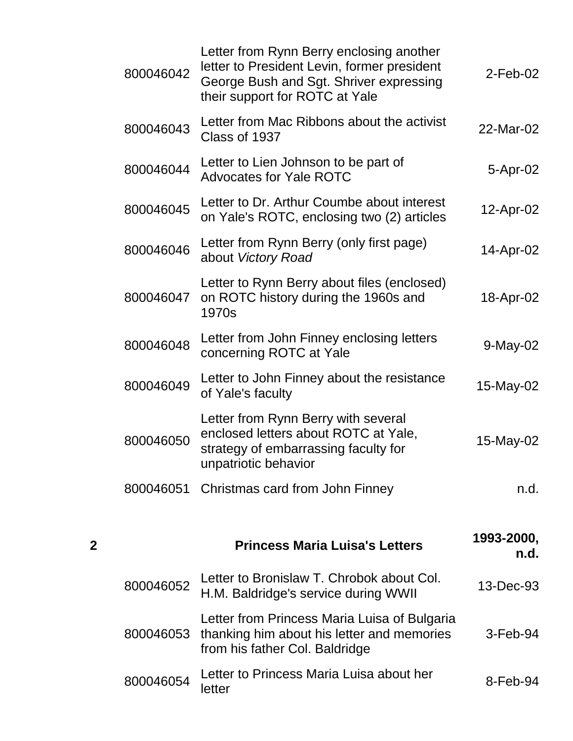|   | 800046042 | Letter from Rynn Berry enclosing another<br>letter to President Levin, former president<br>George Bush and Sgt. Shriver expressing<br>their support for ROTC at Yale | $2-Feb-02$         |
|---|-----------|----------------------------------------------------------------------------------------------------------------------------------------------------------------------|--------------------|
|   | 800046043 | Letter from Mac Ribbons about the activist<br>Class of 1937                                                                                                          | 22-Mar-02          |
|   | 800046044 | Letter to Lien Johnson to be part of<br><b>Advocates for Yale ROTC</b>                                                                                               | 5-Apr-02           |
|   | 800046045 | Letter to Dr. Arthur Coumbe about interest<br>on Yale's ROTC, enclosing two (2) articles                                                                             | 12-Apr-02          |
|   | 800046046 | Letter from Rynn Berry (only first page)<br>about Victory Road                                                                                                       | 14-Apr-02          |
|   | 800046047 | Letter to Rynn Berry about files (enclosed)<br>on ROTC history during the 1960s and<br>1970s                                                                         | 18-Apr-02          |
|   | 800046048 | Letter from John Finney enclosing letters<br>concerning ROTC at Yale                                                                                                 | 9-May-02           |
|   | 800046049 | Letter to John Finney about the resistance<br>of Yale's faculty                                                                                                      | 15-May-02          |
|   | 800046050 | Letter from Rynn Berry with several<br>enclosed letters about ROTC at Yale,<br>strategy of embarrassing faculty for<br>unpatriotic behavior                          | 15-May-02          |
|   |           | 800046051 Christmas card from John Finney                                                                                                                            | n.d.               |
| 2 |           | <b>Princess Maria Luisa's Letters</b>                                                                                                                                | 1993-2000,<br>n.d. |
|   | 800046052 | Letter to Bronislaw T. Chrobok about Col.<br>H.M. Baldridge's service during WWII                                                                                    | 13-Dec-93          |

|           | Letter from Princess Maria Luisa of Bulgaria<br>800046053 thanking him about his letter and memories<br>from his father Col. Baldridge | $3-Feb-94$ |
|-----------|----------------------------------------------------------------------------------------------------------------------------------------|------------|
| 800046054 | Letter to Princess Maria Luisa about her<br>letter                                                                                     | $8-Feb-94$ |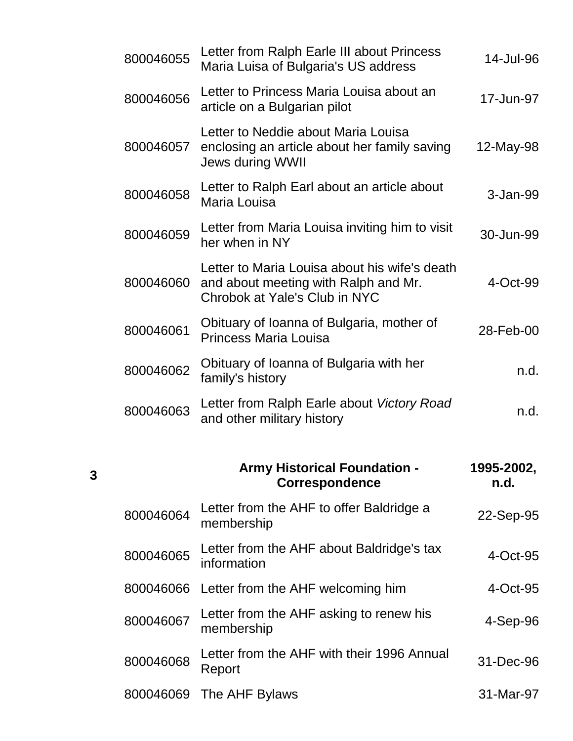| 800046055 | Letter from Ralph Earle III about Princess<br>Maria Luisa of Bulgaria's US address                                     | 14-Jul-96          |
|-----------|------------------------------------------------------------------------------------------------------------------------|--------------------|
| 800046056 | Letter to Princess Maria Louisa about an<br>article on a Bulgarian pilot                                               | 17-Jun-97          |
| 800046057 | Letter to Neddie about Maria Louisa<br>enclosing an article about her family saving<br><b>Jews during WWII</b>         | 12-May-98          |
| 800046058 | Letter to Ralph Earl about an article about<br>Maria Louisa                                                            | 3-Jan-99           |
| 800046059 | Letter from Maria Louisa inviting him to visit<br>her when in NY                                                       | 30-Jun-99          |
| 800046060 | Letter to Maria Louisa about his wife's death<br>and about meeting with Ralph and Mr.<br>Chrobok at Yale's Club in NYC | 4-Oct-99           |
| 800046061 | Obituary of Ioanna of Bulgaria, mother of<br><b>Princess Maria Louisa</b>                                              | 28-Feb-00          |
| 800046062 | Obituary of Ioanna of Bulgaria with her<br>family's history                                                            | n.d.               |
| 800046063 | Letter from Ralph Earle about Victory Road<br>and other military history                                               | n.d.               |
|           | <b>Army Historical Foundation -</b><br><b>Correspondence</b>                                                           | 1995-2002,<br>n.d. |
| 800046064 | Letter from the AHF to offer Baldridge a<br>membership                                                                 | 22-Sep-95          |
| 800046065 | Letter from the AHF about Baldridge's tax<br>information                                                               | 4-Oct-95           |
| 800046066 | Letter from the AHF welcoming him                                                                                      | 4-Oct-95           |
| 800046067 | Letter from the AHF asking to renew his<br>membership                                                                  | 4-Sep-96           |
| 800046068 | Letter from the AHF with their 1996 Annual<br>Report                                                                   | 31-Dec-96          |
| 800046069 | The AHF Bylaws                                                                                                         | 31-Mar-97          |

**3**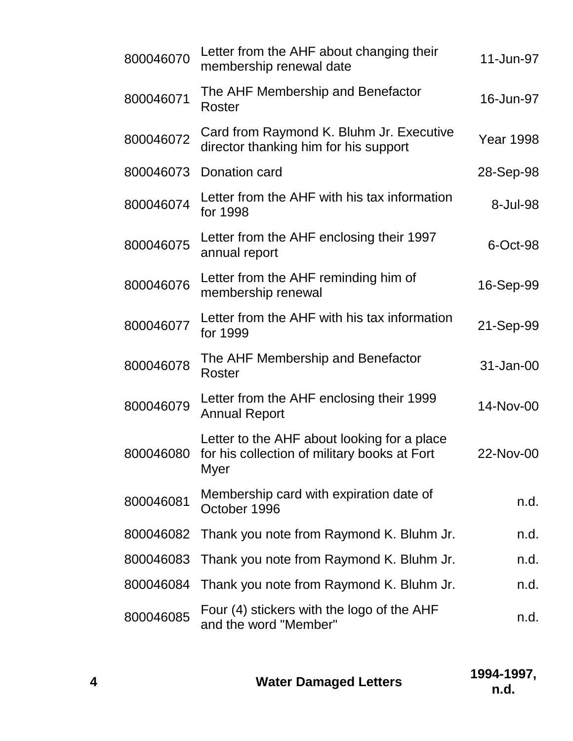| 800046070 | Letter from the AHF about changing their<br>membership renewal date                                        | 11-Jun-97        |
|-----------|------------------------------------------------------------------------------------------------------------|------------------|
| 800046071 | The AHF Membership and Benefactor<br>Roster                                                                | 16-Jun-97        |
| 800046072 | Card from Raymond K. Bluhm Jr. Executive<br>director thanking him for his support                          | <b>Year 1998</b> |
| 800046073 | Donation card                                                                                              | 28-Sep-98        |
| 800046074 | Letter from the AHF with his tax information<br>for 1998                                                   | 8-Jul-98         |
| 800046075 | Letter from the AHF enclosing their 1997<br>annual report                                                  | 6-Oct-98         |
| 800046076 | Letter from the AHF reminding him of<br>membership renewal                                                 | 16-Sep-99        |
| 800046077 | Letter from the AHF with his tax information<br>for 1999                                                   | 21-Sep-99        |
| 800046078 | The AHF Membership and Benefactor<br>Roster                                                                | 31-Jan-00        |
| 800046079 | Letter from the AHF enclosing their 1999<br><b>Annual Report</b>                                           | 14-Nov-00        |
| 800046080 | Letter to the AHF about looking for a place<br>for his collection of military books at Fort<br><b>Myer</b> | 22-Nov-00        |
| 800046081 | Membership card with expiration date of<br>October 1996                                                    | n.d.             |
| 800046082 | Thank you note from Raymond K. Bluhm Jr.                                                                   | n.d.             |
| 800046083 | Thank you note from Raymond K. Bluhm Jr.                                                                   | n.d.             |
| 800046084 | Thank you note from Raymond K. Bluhm Jr.                                                                   | n.d.             |
| 800046085 | Four (4) stickers with the logo of the AHF<br>and the word "Member"                                        | n.d.             |

| <b>Water Damaged Letters</b> | 1994-1997, |
|------------------------------|------------|
|                              | n.d.       |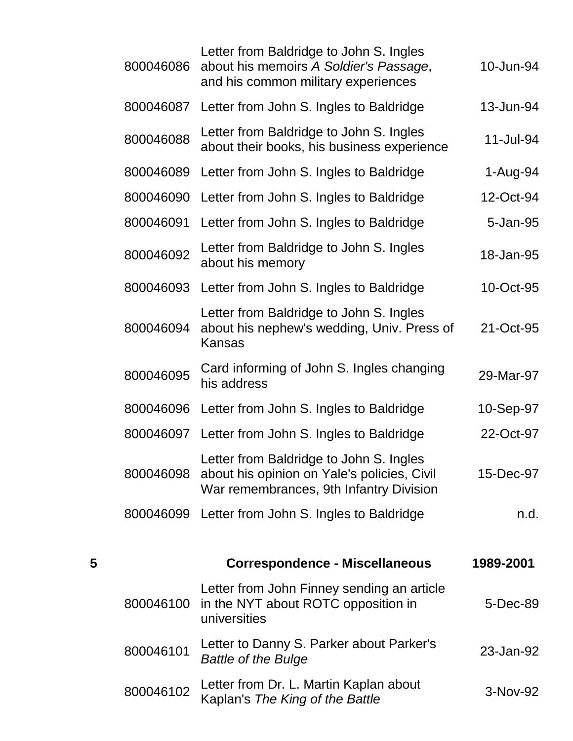|   | 800046086 | Letter from Baldridge to John S. Ingles<br>about his memoirs A Soldier's Passage,<br>and his common military experiences          | 10-Jun-94 |
|---|-----------|-----------------------------------------------------------------------------------------------------------------------------------|-----------|
|   | 800046087 | Letter from John S. Ingles to Baldridge                                                                                           | 13-Jun-94 |
|   | 800046088 | Letter from Baldridge to John S. Ingles<br>about their books, his business experience                                             | 11-Jul-94 |
|   | 800046089 | Letter from John S. Ingles to Baldridge                                                                                           | 1-Aug-94  |
|   | 800046090 | Letter from John S. Ingles to Baldridge                                                                                           | 12-Oct-94 |
|   | 800046091 | Letter from John S. Ingles to Baldridge                                                                                           | 5-Jan-95  |
|   | 800046092 | Letter from Baldridge to John S. Ingles<br>about his memory                                                                       | 18-Jan-95 |
|   | 800046093 | Letter from John S. Ingles to Baldridge                                                                                           | 10-Oct-95 |
|   | 800046094 | Letter from Baldridge to John S. Ingles<br>about his nephew's wedding, Univ. Press of<br><b>Kansas</b>                            | 21-Oct-95 |
|   | 800046095 | Card informing of John S. Ingles changing<br>his address                                                                          | 29-Mar-97 |
|   | 800046096 | Letter from John S. Ingles to Baldridge                                                                                           | 10-Sep-97 |
|   |           | 800046097 Letter from John S. Ingles to Baldridge                                                                                 | 22-Oct-97 |
|   | 800046098 | Letter from Baldridge to John S. Ingles<br>about his opinion on Yale's policies, Civil<br>War remembrances, 9th Infantry Division | 15-Dec-97 |
|   |           | 800046099 Letter from John S. Ingles to Baldridge                                                                                 | n.d.      |
|   |           |                                                                                                                                   |           |
| 5 |           | <b>Correspondence - Miscellaneous</b>                                                                                             | 1989-2001 |
|   | 800046100 | Letter from John Finney sending an article<br>in the NYT about ROTC opposition in<br>universities                                 | 5-Dec-89  |
|   | 800046101 | Letter to Danny S. Parker about Parker's<br><b>Battle of the Bulge</b>                                                            | 23-Jan-92 |
|   | 800046102 | Letter from Dr. L. Martin Kaplan about<br>Kaplan's The King of the Battle                                                         | 3-Nov-92  |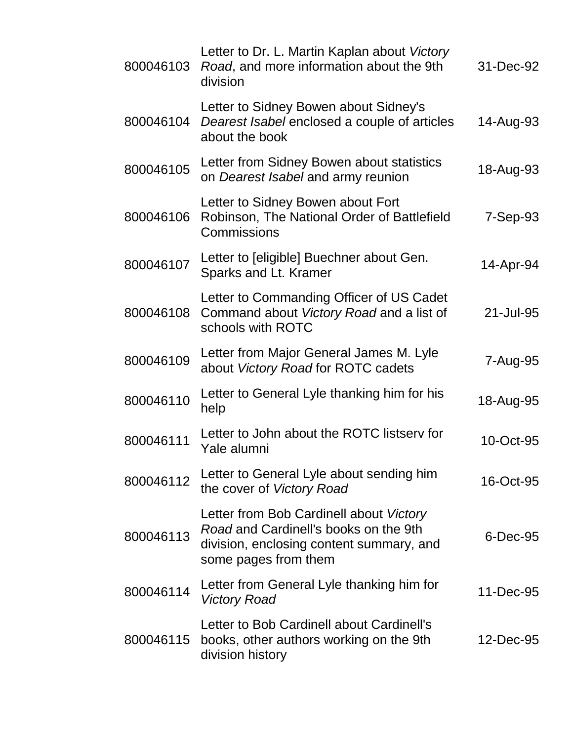| 800046103 | Letter to Dr. L. Martin Kaplan about Victory<br>Road, and more information about the 9th<br>division                                                 | 31-Dec-92 |
|-----------|------------------------------------------------------------------------------------------------------------------------------------------------------|-----------|
| 800046104 | Letter to Sidney Bowen about Sidney's<br>Dearest Isabel enclosed a couple of articles<br>about the book                                              | 14-Aug-93 |
| 800046105 | Letter from Sidney Bowen about statistics<br>on Dearest Isabel and army reunion                                                                      | 18-Aug-93 |
| 800046106 | Letter to Sidney Bowen about Fort<br>Robinson, The National Order of Battlefield<br>Commissions                                                      | 7-Sep-93  |
| 800046107 | Letter to [eligible] Buechner about Gen.<br>Sparks and Lt. Kramer                                                                                    | 14-Apr-94 |
| 800046108 | Letter to Commanding Officer of US Cadet<br>Command about Victory Road and a list of<br>schools with ROTC                                            | 21-Jul-95 |
| 800046109 | Letter from Major General James M. Lyle<br>about Victory Road for ROTC cadets                                                                        | 7-Aug-95  |
| 800046110 | Letter to General Lyle thanking him for his<br>help                                                                                                  | 18-Aug-95 |
| 800046111 | Letter to John about the ROTC listserv for<br>Yale alumni                                                                                            | 10-Oct-95 |
| 800046112 | Letter to General Lyle about sending him<br>the cover of Victory Road                                                                                | 16-Oct-95 |
| 800046113 | Letter from Bob Cardinell about Victory<br>Road and Cardinell's books on the 9th<br>division, enclosing content summary, and<br>some pages from them | 6-Dec-95  |
| 800046114 | Letter from General Lyle thanking him for<br><b>Victory Road</b>                                                                                     | 11-Dec-95 |
| 800046115 | Letter to Bob Cardinell about Cardinell's<br>books, other authors working on the 9th<br>division history                                             | 12-Dec-95 |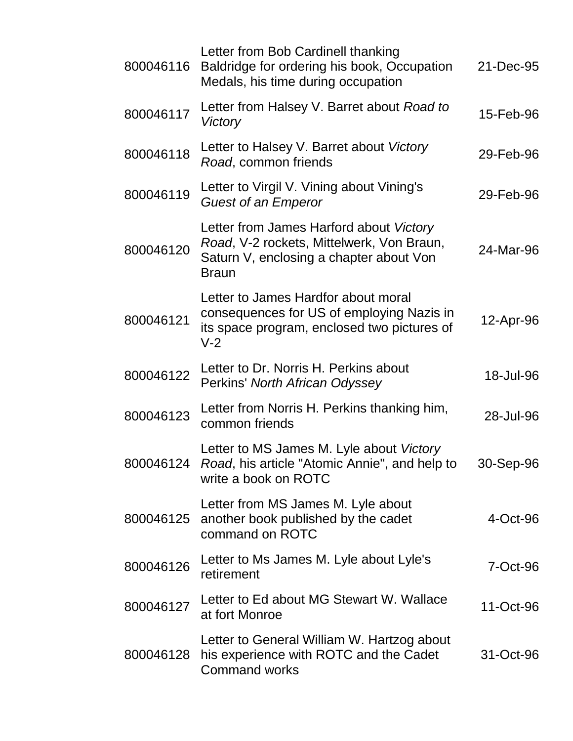| 800046116 | Letter from Bob Cardinell thanking<br>Baldridge for ordering his book, Occupation<br>Medals, his time during occupation                         | 21-Dec-95 |
|-----------|-------------------------------------------------------------------------------------------------------------------------------------------------|-----------|
| 800046117 | Letter from Halsey V. Barret about Road to<br>Victory                                                                                           | 15-Feb-96 |
| 800046118 | Letter to Halsey V. Barret about Victory<br>Road, common friends                                                                                | 29-Feb-96 |
| 800046119 | Letter to Virgil V. Vining about Vining's<br><b>Guest of an Emperor</b>                                                                         | 29-Feb-96 |
| 800046120 | Letter from James Harford about Victory<br>Road, V-2 rockets, Mittelwerk, Von Braun,<br>Saturn V, enclosing a chapter about Von<br><b>Braun</b> | 24-Mar-96 |
| 800046121 | Letter to James Hardfor about moral<br>consequences for US of employing Nazis in<br>its space program, enclosed two pictures of<br>$V-2$        | 12-Apr-96 |
| 800046122 | Letter to Dr. Norris H. Perkins about<br>Perkins' North African Odyssey                                                                         | 18-Jul-96 |
| 800046123 | Letter from Norris H. Perkins thanking him,<br>common friends                                                                                   | 28-Jul-96 |
|           | Letter to MS James M. Lyle about Victory<br>800046124 Road, his article "Atomic Annie", and help to<br>write a book on ROTC                     | 30-Sep-96 |
| 800046125 | Letter from MS James M. Lyle about<br>another book published by the cadet<br>command on ROTC                                                    | 4-Oct-96  |
| 800046126 | Letter to Ms James M. Lyle about Lyle's<br>retirement                                                                                           | 7-Oct-96  |
| 800046127 | Letter to Ed about MG Stewart W. Wallace<br>at fort Monroe                                                                                      | 11-Oct-96 |
| 800046128 | Letter to General William W. Hartzog about<br>his experience with ROTC and the Cadet<br><b>Command works</b>                                    | 31-Oct-96 |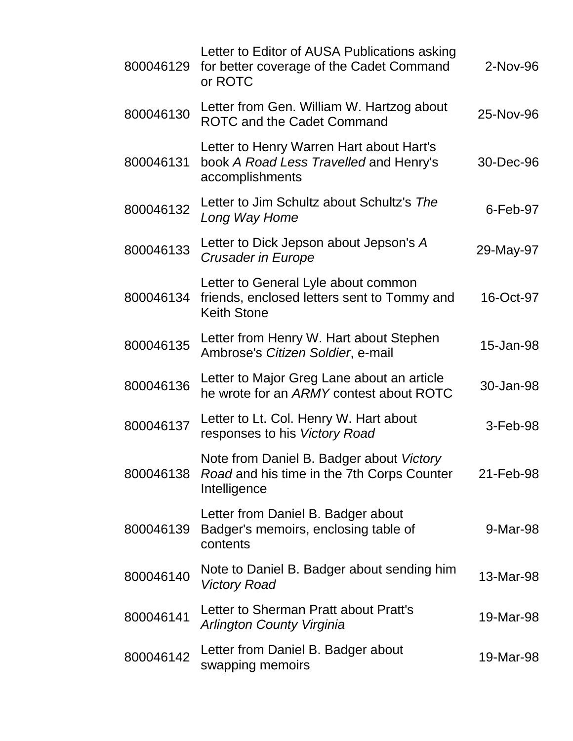| 800046129 | Letter to Editor of AUSA Publications asking<br>for better coverage of the Cadet Command<br>or ROTC              | 2-Nov-96    |
|-----------|------------------------------------------------------------------------------------------------------------------|-------------|
| 800046130 | Letter from Gen. William W. Hartzog about<br>ROTC and the Cadet Command                                          | 25-Nov-96   |
| 800046131 | Letter to Henry Warren Hart about Hart's<br>book A Road Less Travelled and Henry's<br>accomplishments            | 30-Dec-96   |
| 800046132 | Letter to Jim Schultz about Schultz's The<br>Long Way Home                                                       | $6$ -Feb-97 |
| 800046133 | Letter to Dick Jepson about Jepson's A<br><b>Crusader in Europe</b>                                              | 29-May-97   |
| 800046134 | Letter to General Lyle about common<br>friends, enclosed letters sent to Tommy and<br><b>Keith Stone</b>         | 16-Oct-97   |
| 800046135 | Letter from Henry W. Hart about Stephen<br>Ambrose's Citizen Soldier, e-mail                                     | 15-Jan-98   |
| 800046136 | Letter to Major Greg Lane about an article<br>he wrote for an ARMY contest about ROTC                            | 30-Jan-98   |
| 800046137 | Letter to Lt. Col. Henry W. Hart about<br>responses to his Victory Road                                          | 3-Feb-98    |
|           | Note from Daniel B. Badger about Victory<br>800046138 Road and his time in the 7th Corps Counter<br>Intelligence | 21-Feb-98   |
| 800046139 | Letter from Daniel B. Badger about<br>Badger's memoirs, enclosing table of<br>contents                           | 9-Mar-98    |
| 800046140 | Note to Daniel B. Badger about sending him<br><b>Victory Road</b>                                                | 13-Mar-98   |
| 800046141 | Letter to Sherman Pratt about Pratt's<br><b>Arlington County Virginia</b>                                        | 19-Mar-98   |
| 800046142 | Letter from Daniel B. Badger about<br>swapping memoirs                                                           | 19-Mar-98   |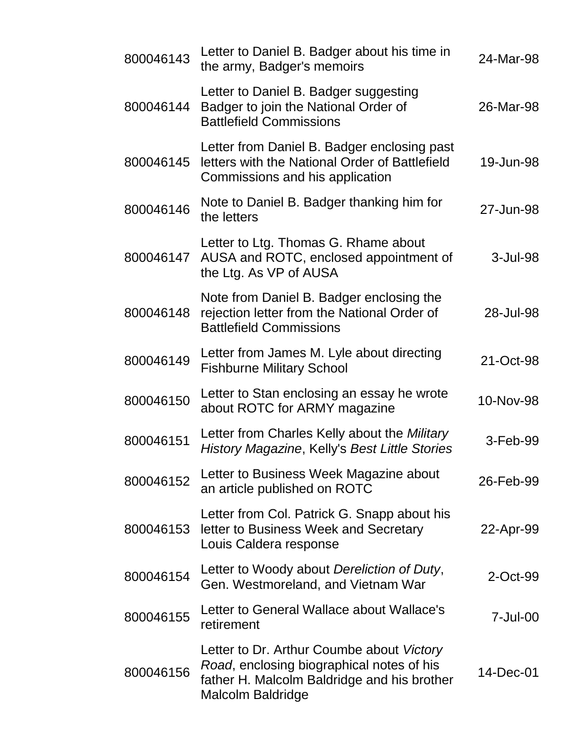| 800046143 | Letter to Daniel B. Badger about his time in<br>the army, Badger's memoirs                                                                                        | 24-Mar-98 |
|-----------|-------------------------------------------------------------------------------------------------------------------------------------------------------------------|-----------|
| 800046144 | Letter to Daniel B. Badger suggesting<br>Badger to join the National Order of<br><b>Battlefield Commissions</b>                                                   | 26-Mar-98 |
| 800046145 | Letter from Daniel B. Badger enclosing past<br>letters with the National Order of Battlefield<br>Commissions and his application                                  | 19-Jun-98 |
| 800046146 | Note to Daniel B. Badger thanking him for<br>the letters                                                                                                          | 27-Jun-98 |
| 800046147 | Letter to Ltg. Thomas G. Rhame about<br>AUSA and ROTC, enclosed appointment of<br>the Ltg. As VP of AUSA                                                          | 3-Jul-98  |
| 800046148 | Note from Daniel B. Badger enclosing the<br>rejection letter from the National Order of<br><b>Battlefield Commissions</b>                                         | 28-Jul-98 |
| 800046149 | Letter from James M. Lyle about directing<br><b>Fishburne Military School</b>                                                                                     | 21-Oct-98 |
| 800046150 | Letter to Stan enclosing an essay he wrote<br>about ROTC for ARMY magazine                                                                                        | 10-Nov-98 |
| 800046151 | Letter from Charles Kelly about the Military<br>History Magazine, Kelly's Best Little Stories                                                                     | 3-Feb-99  |
| 800046152 | Letter to Business Week Magazine about<br>an article published on ROTC                                                                                            | 26-Feb-99 |
| 800046153 | Letter from Col. Patrick G. Snapp about his<br>letter to Business Week and Secretary<br>Louis Caldera response                                                    | 22-Apr-99 |
| 800046154 | Letter to Woody about Dereliction of Duty,<br>Gen. Westmoreland, and Vietnam War                                                                                  | 2-Oct-99  |
| 800046155 | Letter to General Wallace about Wallace's<br>retirement                                                                                                           | 7-Jul-00  |
| 800046156 | Letter to Dr. Arthur Coumbe about Victory<br>Road, enclosing biographical notes of his<br>father H. Malcolm Baldridge and his brother<br><b>Malcolm Baldridge</b> | 14-Dec-01 |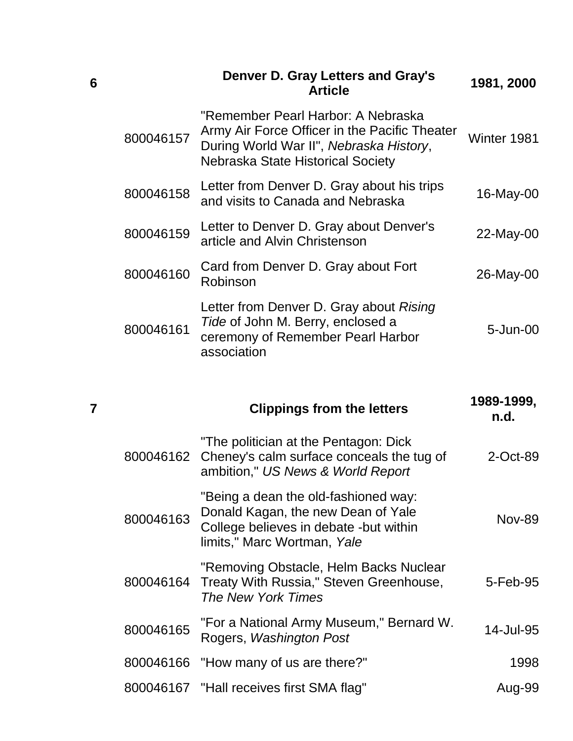|           | <b>Denver D. Gray Letters and Gray's</b><br><b>Article</b>                                                                                                          | 1981, 2000  |
|-----------|---------------------------------------------------------------------------------------------------------------------------------------------------------------------|-------------|
| 800046157 | "Remember Pearl Harbor: A Nebraska<br>Army Air Force Officer in the Pacific Theater<br>During World War II", Nebraska History,<br>Nebraska State Historical Society | Winter 1981 |
| 800046158 | Letter from Denver D. Gray about his trips<br>and visits to Canada and Nebraska                                                                                     | 16-May-00   |
| 800046159 | Letter to Denver D. Gray about Denver's<br>article and Alvin Christenson                                                                                            | 22-May-00   |
| 800046160 | Card from Denver D. Gray about Fort<br>Robinson                                                                                                                     | 26-May-00   |
| 800046161 | Letter from Denver D. Gray about Rising<br>Tide of John M. Berry, enclosed a<br>ceremony of Remember Pearl Harbor<br>association                                    | 5-Jun-00    |

**6**

| 7 |           | <b>Clippings from the letters</b>                                                                                                                   | 1989-1999,<br>n.d. |
|---|-----------|-----------------------------------------------------------------------------------------------------------------------------------------------------|--------------------|
|   |           | "The politician at the Pentagon: Dick<br>800046162 Cheney's calm surface conceals the tug of<br>ambition," US News & World Report                   | 2-Oct-89           |
|   | 800046163 | "Being a dean the old-fashioned way:<br>Donald Kagan, the new Dean of Yale<br>College believes in debate -but within<br>limits," Marc Wortman, Yale | <b>Nov-89</b>      |
|   |           | "Removing Obstacle, Helm Backs Nuclear<br>800046164 Treaty With Russia," Steven Greenhouse,<br>The New York Times                                   | 5-Feb-95           |
|   | 800046165 | "For a National Army Museum," Bernard W.<br>Rogers, Washington Post                                                                                 | 14-Jul-95          |
|   |           | 800046166 "How many of us are there?"                                                                                                               | 1998               |
|   |           | 800046167 "Hall receives first SMA flag"                                                                                                            | Aug-99             |
|   |           |                                                                                                                                                     |                    |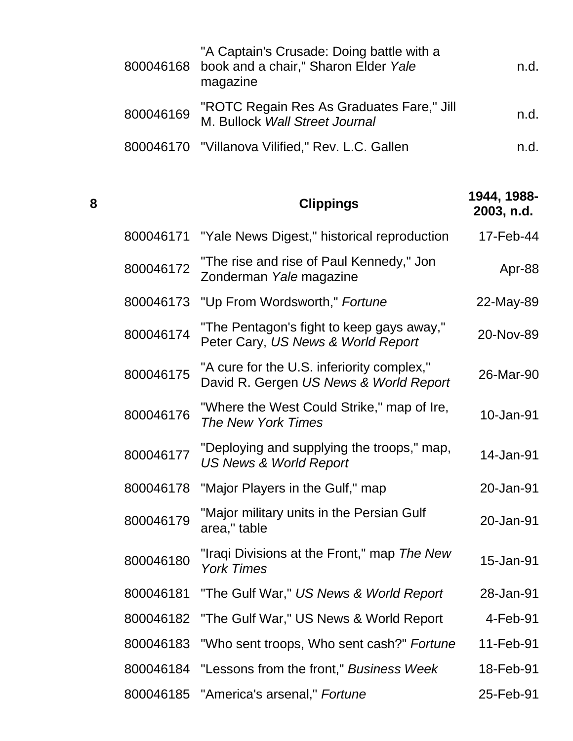|           | "A Captain's Crusade: Doing battle with a<br>800046168 book and a chair," Sharon Elder Yale<br>magazine | n.d. |
|-----------|---------------------------------------------------------------------------------------------------------|------|
| 800046169 | "ROTC Regain Res As Graduates Fare," Jill<br>M. Bullock Wall Street Journal                             | n.d. |
|           | 800046170 "Villanova Vilified," Rev. L.C. Gallen                                                        | n d  |

| 8 |           | <b>Clippings</b>                                                                     | 1944, 1988-<br>2003, n.d. |
|---|-----------|--------------------------------------------------------------------------------------|---------------------------|
|   | 800046171 | "Yale News Digest," historical reproduction                                          | 17-Feb-44                 |
|   | 800046172 | "The rise and rise of Paul Kennedy," Jon<br>Zonderman Yale magazine                  | Apr-88                    |
|   | 800046173 | "Up From Wordsworth," Fortune                                                        | 22-May-89                 |
|   | 800046174 | "The Pentagon's fight to keep gays away,"<br>Peter Cary, US News & World Report      | 20-Nov-89                 |
|   | 800046175 | "A cure for the U.S. inferiority complex,"<br>David R. Gergen US News & World Report | 26-Mar-90                 |
|   | 800046176 | "Where the West Could Strike," map of Ire,<br>The New York Times                     | 10-Jan-91                 |
|   | 800046177 | "Deploying and supplying the troops," map,<br><b>US News &amp; World Report</b>      | 14-Jan-91                 |
|   | 800046178 | "Major Players in the Gulf," map                                                     | 20-Jan-91                 |
|   | 800046179 | "Major military units in the Persian Gulf<br>area," table                            | 20-Jan-91                 |
|   | 800046180 | "Iraqi Divisions at the Front," map The New<br><b>York Times</b>                     | 15-Jan-91                 |
|   | 800046181 | "The Gulf War," US News & World Report                                               | 28-Jan-91                 |
|   | 800046182 | "The Gulf War," US News & World Report                                               | $4$ -Feb-91               |
|   | 800046183 | "Who sent troops, Who sent cash?" Fortune                                            | 11-Feb-91                 |
|   | 800046184 | "Lessons from the front," Business Week                                              | 18-Feb-91                 |
|   |           | 800046185 "America's arsenal," Fortune                                               | 25-Feb-91                 |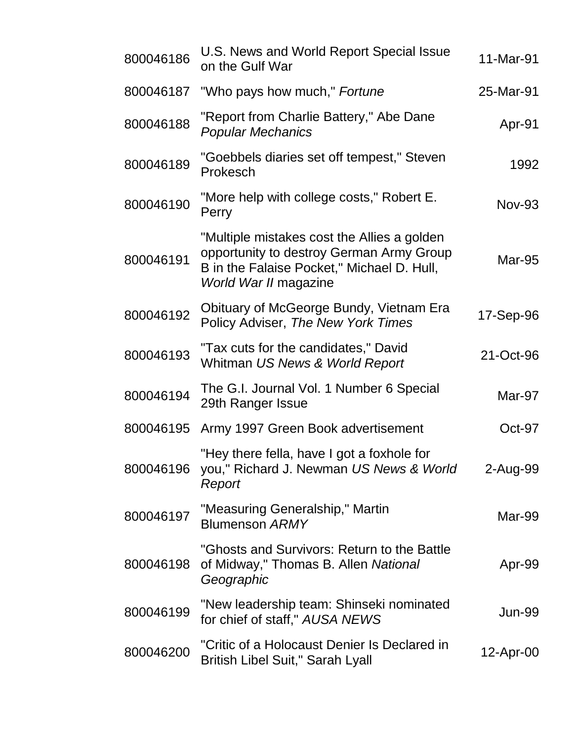| 800046186 | U.S. News and World Report Special Issue<br>on the Gulf War                                                                                                    | 11-Mar-91     |
|-----------|----------------------------------------------------------------------------------------------------------------------------------------------------------------|---------------|
| 800046187 | "Who pays how much," Fortune                                                                                                                                   | 25-Mar-91     |
| 800046188 | "Report from Charlie Battery," Abe Dane<br><b>Popular Mechanics</b>                                                                                            | Apr-91        |
| 800046189 | "Goebbels diaries set off tempest," Steven<br>Prokesch                                                                                                         | 1992          |
| 800046190 | "More help with college costs," Robert E.<br>Perry                                                                                                             | <b>Nov-93</b> |
| 800046191 | "Multiple mistakes cost the Allies a golden<br>opportunity to destroy German Army Group<br>B in the Falaise Pocket," Michael D. Hull,<br>World War II magazine | Mar-95        |
| 800046192 | Obituary of McGeorge Bundy, Vietnam Era<br>Policy Adviser, The New York Times                                                                                  | 17-Sep-96     |
| 800046193 | "Tax cuts for the candidates," David<br>Whitman US News & World Report                                                                                         | 21-Oct-96     |
| 800046194 | The G.I. Journal Vol. 1 Number 6 Special<br>29th Ranger Issue                                                                                                  | Mar-97        |
| 800046195 | Army 1997 Green Book advertisement                                                                                                                             | Oct-97        |
| 800046196 | "Hey there fella, have I got a foxhole for<br>you," Richard J. Newman US News & World<br>Report                                                                | 2-Aug-99      |
| 800046197 | "Measuring Generalship," Martin<br><b>Blumenson ARMY</b>                                                                                                       | Mar-99        |
| 800046198 | "Ghosts and Survivors: Return to the Battle<br>of Midway," Thomas B. Allen National<br>Geographic                                                              | Apr-99        |
| 800046199 | "New leadership team: Shinseki nominated<br>for chief of staff," AUSA NEWS                                                                                     | <b>Jun-99</b> |
| 800046200 | "Critic of a Holocaust Denier Is Declared in<br><b>British Libel Suit," Sarah Lyall</b>                                                                        | 12-Apr-00     |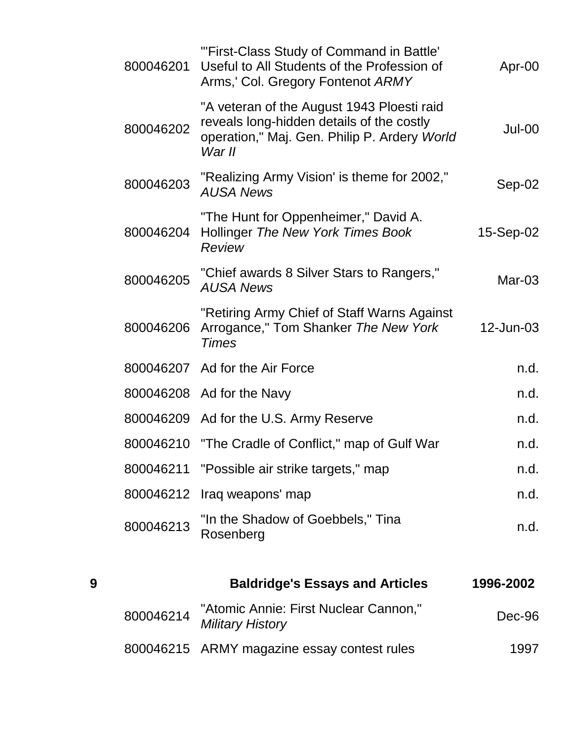|   | 800046214 | "Atomic Annie: First Nuclear Cannon,"<br><b>Military History</b>                                                                                  | Dec-96    |
|---|-----------|---------------------------------------------------------------------------------------------------------------------------------------------------|-----------|
| 9 |           | <b>Baldridge's Essays and Articles</b>                                                                                                            | 1996-2002 |
|   | 800046213 | "In the Shadow of Goebbels," Tina<br>Rosenberg                                                                                                    | n.d.      |
|   |           | 800046212 Iraq weapons' map                                                                                                                       | n.d.      |
|   | 800046211 | "Possible air strike targets," map                                                                                                                | n.d.      |
|   | 800046210 | "The Cradle of Conflict," map of Gulf War                                                                                                         | n.d.      |
|   |           | 800046209 Ad for the U.S. Army Reserve                                                                                                            | n.d.      |
|   |           | 800046208 Ad for the Navy                                                                                                                         | n.d.      |
|   |           | 800046207 Ad for the Air Force                                                                                                                    | n.d.      |
|   | 800046206 | "Retiring Army Chief of Staff Warns Against<br>Arrogance," Tom Shanker The New York<br><b>Times</b>                                               | 12-Jun-03 |
|   | 800046205 | "Chief awards 8 Silver Stars to Rangers,"<br><b>AUSA News</b>                                                                                     | $Mar-03$  |
|   | 800046204 | "The Hunt for Oppenheimer," David A.<br>Hollinger The New York Times Book<br>Review                                                               | 15-Sep-02 |
|   | 800046203 | "Realizing Army Vision' is theme for 2002,"<br><b>AUSA News</b>                                                                                   | $Sep-02$  |
|   | 800046202 | "A veteran of the August 1943 Ploesti raid<br>reveals long-hidden details of the costly<br>operation," Maj. Gen. Philip P. Ardery World<br>War II | $Jul-00$  |
|   | 800046201 | "'First-Class Study of Command in Battle'<br>Useful to All Students of the Profession of<br>Arms,' Col. Gregory Fontenot ARMY                     | Apr-00    |

800046215 ARMY magazine essay contest rules 1997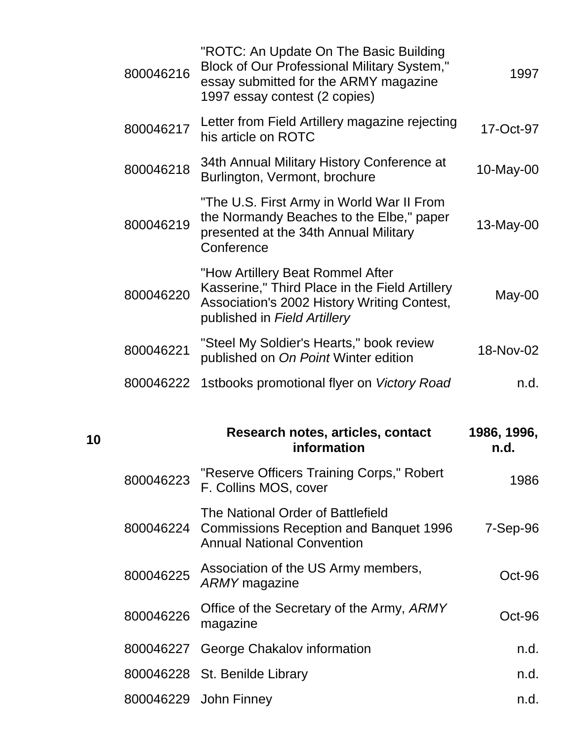|    | 800046216 | "ROTC: An Update On The Basic Building<br><b>Block of Our Professional Military System,"</b><br>essay submitted for the ARMY magazine<br>1997 essay contest (2 copies)   | 1997                |
|----|-----------|--------------------------------------------------------------------------------------------------------------------------------------------------------------------------|---------------------|
|    | 800046217 | Letter from Field Artillery magazine rejecting<br>his article on ROTC                                                                                                    | 17-Oct-97           |
|    | 800046218 | 34th Annual Military History Conference at<br>Burlington, Vermont, brochure                                                                                              | 10-May-00           |
|    | 800046219 | "The U.S. First Army in World War II From<br>the Normandy Beaches to the Elbe," paper<br>presented at the 34th Annual Military<br>Conference                             | 13-May-00           |
|    | 800046220 | "How Artillery Beat Rommel After<br>Kasserine," Third Place in the Field Artillery<br><b>Association's 2002 History Writing Contest,</b><br>published in Field Artillery | May-00              |
|    | 800046221 | "Steel My Soldier's Hearts," book review<br>published on On Point Winter edition                                                                                         | 18-Nov-02           |
|    | 800046222 | 1stbooks promotional flyer on Victory Road                                                                                                                               | n.d.                |
| 10 |           | Research notes, articles, contact<br>information                                                                                                                         | 1986, 1996,<br>n.d. |
|    | 800046223 | "Reserve Officers Training Corps," Robert<br>F. Collins MOS, cover                                                                                                       | 1986                |
|    | 800046224 | The National Order of Battlefield<br><b>Commissions Reception and Banquet 1996</b><br><b>Annual National Convention</b>                                                  | $7-Sep-96$          |
|    | 800046225 | Association of the US Army members,<br><b>ARMY</b> magazine                                                                                                              | Oct-96              |
|    | 800046226 | Office of the Secretary of the Army, ARMY<br>magazine                                                                                                                    | Oct-96              |
|    | 800046227 | George Chakalov information                                                                                                                                              | n.d.                |
|    |           | 800046228 St. Benilde Library                                                                                                                                            | n.d.                |
|    |           | 800046229 John Finney                                                                                                                                                    | n.d.                |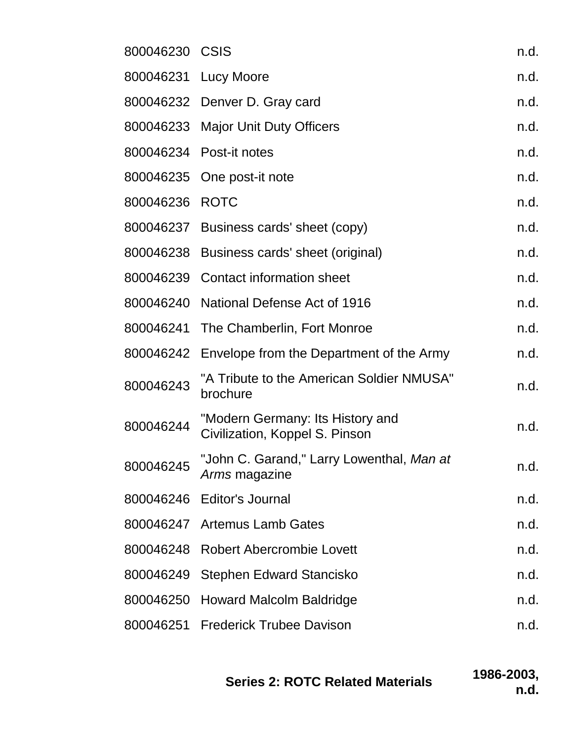| 800046230 CSIS |                                                                    | n.d. |
|----------------|--------------------------------------------------------------------|------|
|                | 800046231 Lucy Moore                                               | n.d. |
|                | 800046232 Denver D. Gray card                                      | n.d. |
|                | 800046233 Major Unit Duty Officers                                 | n.d. |
|                | 800046234 Post-it notes                                            | n.d. |
|                | 800046235 One post-it note                                         | n.d. |
| 800046236 ROTC |                                                                    | n.d. |
|                | 800046237 Business cards' sheet (copy)                             | n.d. |
|                | 800046238 Business cards' sheet (original)                         | n.d. |
|                | 800046239 Contact information sheet                                | n.d. |
|                | 800046240 National Defense Act of 1916                             | n.d. |
|                | 800046241 The Chamberlin, Fort Monroe                              | n.d. |
| 800046242      | Envelope from the Department of the Army                           | n.d. |
| 800046243      | "A Tribute to the American Soldier NMUSA"<br>brochure              | n.d. |
| 800046244      | "Modern Germany: Its History and<br>Civilization, Koppel S. Pinson | n.d. |
| 800046245      | "John C. Garand," Larry Lowenthal, Man at<br>Arms magazine         | n.d. |
|                | 800046246 Editor's Journal                                         | n.d. |
|                | 800046247 Artemus Lamb Gates                                       | n.d. |
|                | 800046248 Robert Abercrombie Lovett                                | n.d. |
| 800046249      | <b>Stephen Edward Stancisko</b>                                    | n.d. |
|                | 800046250 Howard Malcolm Baldridge                                 | n.d. |
|                | 800046251 Frederick Trubee Davison                                 | n.d. |
|                |                                                                    |      |

| <b>Series 2: ROTC Related Materials</b> | 1986-2003, |
|-----------------------------------------|------------|
|                                         | n.d.       |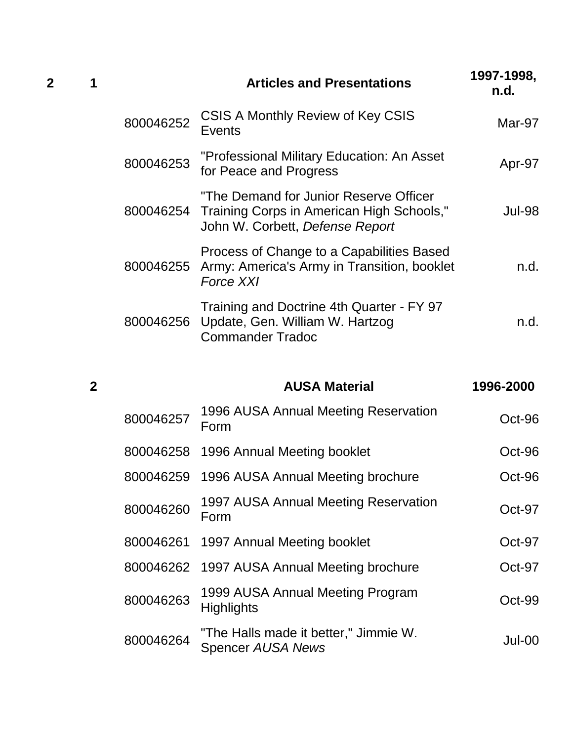| 2 |           | <b>Articles and Presentations</b>                                                                                                | 1997-1998,<br>n.d. |
|---|-----------|----------------------------------------------------------------------------------------------------------------------------------|--------------------|
|   | 800046252 | CSIS A Monthly Review of Key CSIS<br>Events                                                                                      | Mar-97             |
|   | 800046253 | "Professional Military Education: An Asset<br>for Peace and Progress                                                             | Apr-97             |
|   |           | "The Demand for Junior Reserve Officer<br>800046254 Training Corps in American High Schools,"<br>John W. Corbett, Defense Report | <b>Jul-98</b>      |
|   |           | Process of Change to a Capabilities Based<br>800046255 Army: America's Army in Transition, booklet<br><b>Force XXI</b>           | n.d.               |
|   |           | Training and Doctrine 4th Quarter - FY 97<br>800046256 Update, Gen. William W. Hartzog<br><b>Commander Tradoc</b>                | n.d.               |

| $\overline{2}$ |           | <b>AUSA Material</b>                                              | 1996-2000 |
|----------------|-----------|-------------------------------------------------------------------|-----------|
|                | 800046257 | 1996 AUSA Annual Meeting Reservation<br>Form                      | Oct-96    |
|                | 800046258 | 1996 Annual Meeting booklet                                       | Oct-96    |
|                | 800046259 | 1996 AUSA Annual Meeting brochure                                 | Oct-96    |
|                | 800046260 | 1997 AUSA Annual Meeting Reservation<br>Form                      | Oct-97    |
|                |           | 800046261 1997 Annual Meeting booklet                             | Oct-97    |
|                |           | 800046262 1997 AUSA Annual Meeting brochure                       | $Oct-97$  |
|                | 800046263 | 1999 AUSA Annual Meeting Program<br><b>Highlights</b>             | Oct-99    |
|                | 800046264 | "The Halls made it better," Jimmie W.<br><b>Spencer AUSA News</b> | Jul-00    |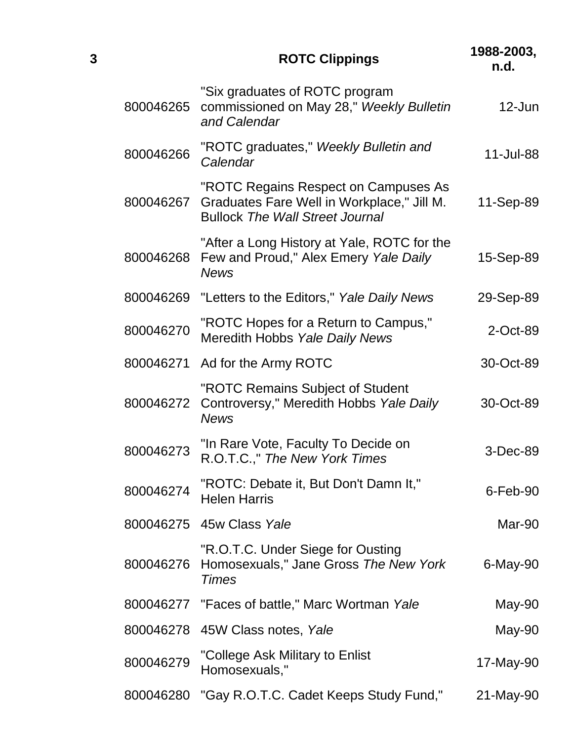| 3 |           | <b>ROTC Clippings</b>                                                                                                        | 1988-2003,<br>n.d. |
|---|-----------|------------------------------------------------------------------------------------------------------------------------------|--------------------|
|   | 800046265 | "Six graduates of ROTC program<br>commissioned on May 28," Weekly Bulletin<br>and Calendar                                   | $12$ -Jun          |
|   | 800046266 | "ROTC graduates," Weekly Bulletin and<br>Calendar                                                                            | 11-Jul-88          |
|   | 800046267 | "ROTC Regains Respect on Campuses As<br>Graduates Fare Well in Workplace," Jill M.<br><b>Bullock The Wall Street Journal</b> | 11-Sep-89          |
|   | 800046268 | "After a Long History at Yale, ROTC for the<br>Few and Proud," Alex Emery Yale Daily<br><b>News</b>                          | 15-Sep-89          |
|   | 800046269 | "Letters to the Editors," Yale Daily News                                                                                    | 29-Sep-89          |
|   | 800046270 | "ROTC Hopes for a Return to Campus,"<br>Meredith Hobbs Yale Daily News                                                       | 2-Oct-89           |
|   | 800046271 | Ad for the Army ROTC                                                                                                         | 30-Oct-89          |
|   | 800046272 | "ROTC Remains Subject of Student<br>Controversy," Meredith Hobbs Yale Daily<br><b>News</b>                                   | 30-Oct-89          |
|   | 800046273 | "In Rare Vote, Faculty To Decide on<br>R.O.T.C.," The New York Times                                                         | 3-Dec-89           |
|   | 800046274 | "ROTC: Debate it, But Don't Damn It,"<br><b>Helen Harris</b>                                                                 | $6$ -Feb-90        |
|   |           | 800046275 45w Class Yale                                                                                                     | Mar-90             |
|   | 800046276 | "R.O.T.C. Under Siege for Ousting<br>Homosexuals," Jane Gross The New York<br><b>Times</b>                                   | 6-May-90           |
|   |           | 800046277 "Faces of battle," Marc Wortman Yale                                                                               | May-90             |
|   |           | 800046278 45W Class notes, Yale                                                                                              | May-90             |
|   | 800046279 | "College Ask Military to Enlist<br>Homosexuals,"                                                                             | 17-May-90          |
|   | 800046280 | "Gay R.O.T.C. Cadet Keeps Study Fund,"                                                                                       | 21-May-90          |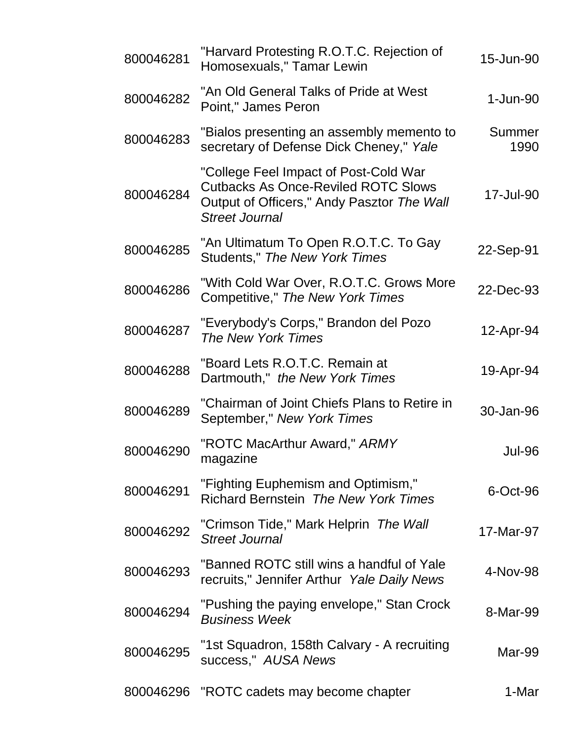| 800046281 | "Harvard Protesting R.O.T.C. Rejection of<br>Homosexuals," Tamar Lewin                                                                                     | 15-Jun-90      |
|-----------|------------------------------------------------------------------------------------------------------------------------------------------------------------|----------------|
| 800046282 | "An Old General Talks of Pride at West<br>Point," James Peron                                                                                              | $1-Jun-90$     |
| 800046283 | "Bialos presenting an assembly memento to<br>secretary of Defense Dick Cheney," Yale                                                                       | Summer<br>1990 |
| 800046284 | "College Feel Impact of Post-Cold War<br><b>Cutbacks As Once-Reviled ROTC Slows</b><br>Output of Officers," Andy Pasztor The Wall<br><b>Street Journal</b> | 17-Jul-90      |
| 800046285 | "An Ultimatum To Open R.O.T.C. To Gay<br>Students," The New York Times                                                                                     | 22-Sep-91      |
| 800046286 | "With Cold War Over, R.O.T.C. Grows More<br>Competitive," The New York Times                                                                               | 22-Dec-93      |
| 800046287 | "Everybody's Corps," Brandon del Pozo<br>The New York Times                                                                                                | 12-Apr-94      |
| 800046288 | "Board Lets R.O.T.C. Remain at<br>Dartmouth," the New York Times                                                                                           | 19-Apr-94      |
| 800046289 | "Chairman of Joint Chiefs Plans to Retire in<br>September," New York Times                                                                                 | 30-Jan-96      |
| 800046290 | "ROTC MacArthur Award," ARMY<br>magazine                                                                                                                   | <b>Jul-96</b>  |
| 800046291 | "Fighting Euphemism and Optimism,"<br><b>Richard Bernstein The New York Times</b>                                                                          | 6-Oct-96       |
| 800046292 | "Crimson Tide," Mark Helprin The Wall<br><b>Street Journal</b>                                                                                             | 17-Mar-97      |
| 800046293 | "Banned ROTC still wins a handful of Yale<br>recruits," Jennifer Arthur Yale Daily News                                                                    | 4-Nov-98       |
| 800046294 | "Pushing the paying envelope," Stan Crock<br><b>Business Week</b>                                                                                          | 8-Mar-99       |
| 800046295 | "1st Squadron, 158th Calvary - A recruiting<br>success," AUSA News                                                                                         | Mar-99         |
| 800046296 | "ROTC cadets may become chapter                                                                                                                            | 1-Mar          |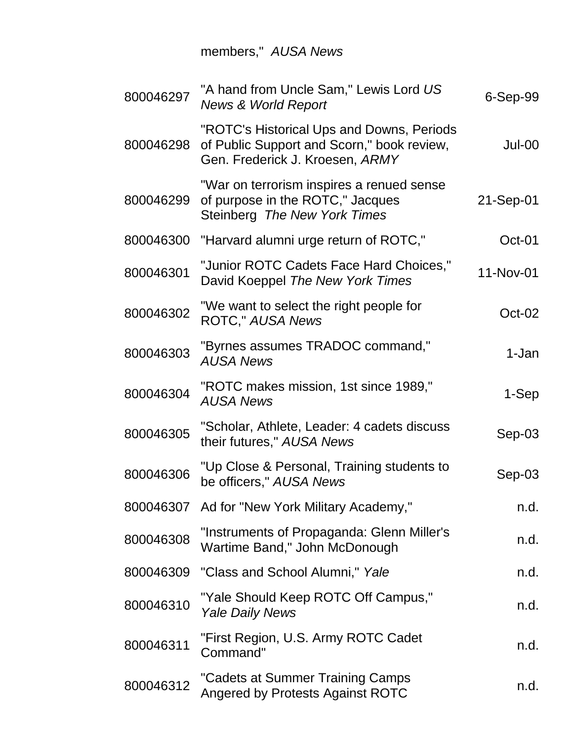members," *AUSA News*

| 800046297 | "A hand from Uncle Sam," Lewis Lord US<br><b>News &amp; World Report</b>                                                   | $6-Sep-99$ |
|-----------|----------------------------------------------------------------------------------------------------------------------------|------------|
| 800046298 | "ROTC's Historical Ups and Downs, Periods<br>of Public Support and Scorn," book review,<br>Gen. Frederick J. Kroesen, ARMY | Jul-00     |
| 800046299 | "War on terrorism inspires a renued sense<br>of purpose in the ROTC," Jacques<br>Steinberg The New York Times              | 21-Sep-01  |
| 800046300 | "Harvard alumni urge return of ROTC,"                                                                                      | Oct-01     |
| 800046301 | "Junior ROTC Cadets Face Hard Choices,"<br>David Koeppel The New York Times                                                | 11-Nov-01  |
| 800046302 | "We want to select the right people for<br><b>ROTC," AUSA News</b>                                                         | $Oct-02$   |
| 800046303 | "Byrnes assumes TRADOC command,"<br><b>AUSA News</b>                                                                       | 1-Jan      |
| 800046304 | "ROTC makes mission, 1st since 1989,"<br><b>AUSA News</b>                                                                  | 1-Sep      |
| 800046305 | "Scholar, Athlete, Leader: 4 cadets discuss<br>their futures," AUSA News                                                   | $Sep-03$   |
| 800046306 | "Up Close & Personal, Training students to<br>be officers," AUSA News                                                      | $Sep-03$   |
|           | 800046307 Ad for "New York Military Academy,"                                                                              | n.d.       |
| 800046308 | "Instruments of Propaganda: Glenn Miller's<br>Wartime Band," John McDonough                                                | n.d.       |
| 800046309 | "Class and School Alumni," Yale                                                                                            | n.d.       |
| 800046310 | "Yale Should Keep ROTC Off Campus,"<br><b>Yale Daily News</b>                                                              | n.d.       |
| 800046311 | "First Region, U.S. Army ROTC Cadet<br>Command"                                                                            | n.d.       |
| 800046312 | "Cadets at Summer Training Camps<br><b>Angered by Protests Against ROTC</b>                                                | n.d.       |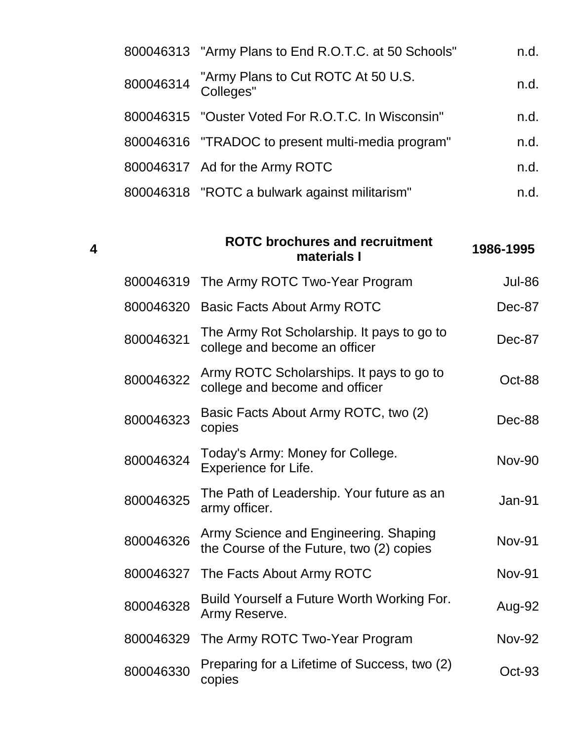| 800046313 "Army Plans to End R.O.T.C. at 50 Schools"      | n.d. |
|-----------------------------------------------------------|------|
| 800046314 "Army Plans to Cut ROTC At 50 U.S.<br>Colleges" | n.d. |
| 800046315 "Ouster Voted For R.O.T.C. In Wisconsin"        | n.d. |
| 800046316 "TRADOC to present multi-media program"         | n.d. |
| 800046317 Ad for the Army ROTC                            | n.d. |
| 800046318 "ROTC a bulwark against militarism"             | n.d. |

| $\boldsymbol{4}$ |           | <b>ROTC brochures and recruitment</b><br>materials I                              | 1986-1995     |
|------------------|-----------|-----------------------------------------------------------------------------------|---------------|
|                  | 800046319 | The Army ROTC Two-Year Program                                                    | <b>Jul-86</b> |
|                  | 800046320 | Basic Facts About Army ROTC                                                       | Dec-87        |
|                  | 800046321 | The Army Rot Scholarship. It pays to go to<br>college and become an officer       | Dec-87        |
|                  | 800046322 | Army ROTC Scholarships. It pays to go to<br>college and become and officer        | Oct-88        |
|                  | 800046323 | Basic Facts About Army ROTC, two (2)<br>copies                                    | Dec-88        |
|                  | 800046324 | Today's Army: Money for College.<br>Experience for Life.                          | <b>Nov-90</b> |
|                  | 800046325 | The Path of Leadership. Your future as an<br>army officer.                        | Jan-91        |
|                  | 800046326 | Army Science and Engineering. Shaping<br>the Course of the Future, two (2) copies | <b>Nov-91</b> |
|                  | 800046327 | The Facts About Army ROTC                                                         | <b>Nov-91</b> |
|                  | 800046328 | Build Yourself a Future Worth Working For.<br>Army Reserve.                       | Aug-92        |
|                  | 800046329 | The Army ROTC Two-Year Program                                                    | <b>Nov-92</b> |
|                  | 800046330 | Preparing for a Lifetime of Success, two (2)<br>copies                            | Oct-93        |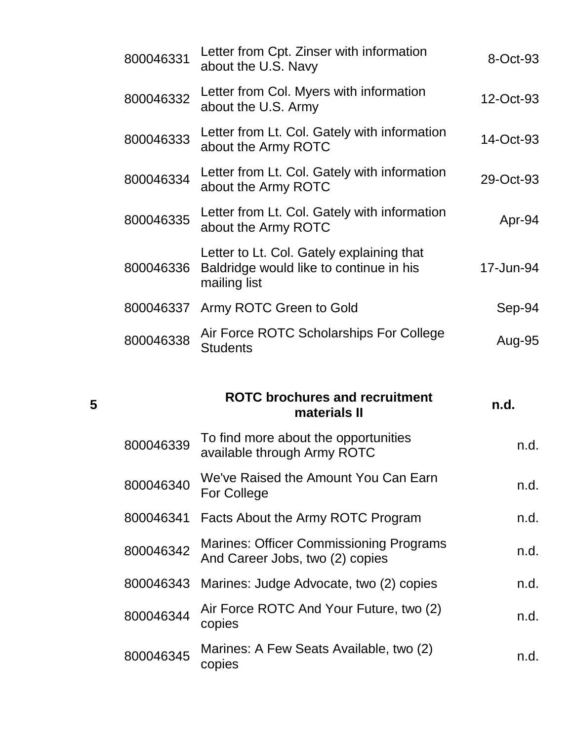| 800046331 | Letter from Cpt. Zinser with information<br>about the U.S. Navy                                      | 8-Oct-93  |
|-----------|------------------------------------------------------------------------------------------------------|-----------|
| 800046332 | Letter from Col. Myers with information<br>about the U.S. Army                                       | 12-Oct-93 |
| 800046333 | Letter from Lt. Col. Gately with information<br>about the Army ROTC                                  | 14-Oct-93 |
| 800046334 | Letter from Lt. Col. Gately with information<br>about the Army ROTC                                  | 29-Oct-93 |
| 800046335 | Letter from Lt. Col. Gately with information<br>about the Army ROTC                                  | Apr-94    |
| 800046336 | Letter to Lt. Col. Gately explaining that<br>Baldridge would like to continue in his<br>mailing list | 17-Jun-94 |
|           | 800046337 Army ROTC Green to Gold                                                                    | Sep-94    |
| 800046338 | Air Force ROTC Scholarships For College<br><b>Students</b>                                           | Aug-95    |
|           |                                                                                                      |           |

#### **5**

# **ROTC brochures and recruitment materials II n.d.**

| 800046339 | To find more about the opportunities<br>available through Army ROTC               | n.d. |
|-----------|-----------------------------------------------------------------------------------|------|
| 800046340 | We've Raised the Amount You Can Earn<br><b>For College</b>                        | n.d. |
| 800046341 | Facts About the Army ROTC Program                                                 | n.d. |
| 800046342 | <b>Marines: Officer Commissioning Programs</b><br>And Career Jobs, two (2) copies | n.d. |
|           | 800046343 Marines: Judge Advocate, two (2) copies                                 | n.d. |
| 800046344 | Air Force ROTC And Your Future, two (2)<br>copies                                 | n.d. |
| 800046345 | Marines: A Few Seats Available, two (2)<br>copies                                 | n.d. |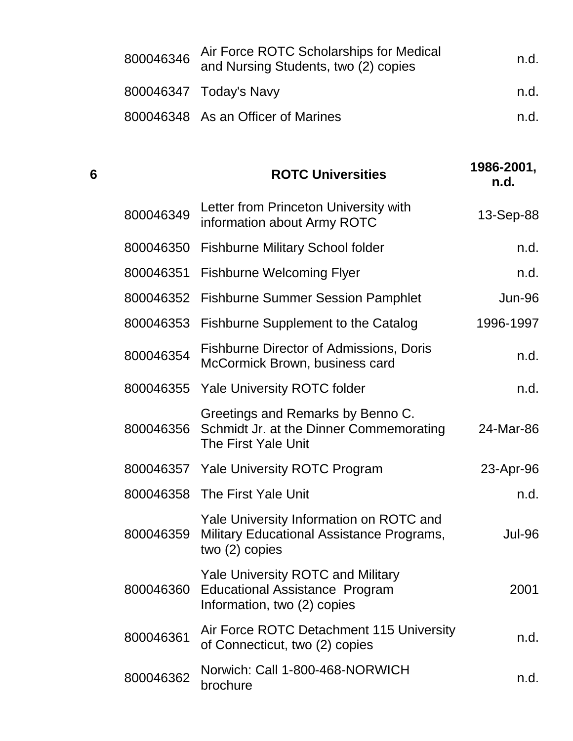| 800046346 | Air Force ROTC Scholarships for Medical<br>and Nursing Students, two (2) copies | n.d. |
|-----------|---------------------------------------------------------------------------------|------|
|           | 800046347 Today's Navy                                                          | n.d. |
|           | 800046348 As an Officer of Marines                                              | n.d. |

| 6 |           | <b>ROTC Universities</b>                                                                                         | 1986-2001,<br>n.d. |
|---|-----------|------------------------------------------------------------------------------------------------------------------|--------------------|
|   | 800046349 | Letter from Princeton University with<br>information about Army ROTC                                             | 13-Sep-88          |
|   | 800046350 | <b>Fishburne Military School folder</b>                                                                          | n.d.               |
|   | 800046351 | <b>Fishburne Welcoming Flyer</b>                                                                                 | n.d.               |
|   | 800046352 | <b>Fishburne Summer Session Pamphlet</b>                                                                         | <b>Jun-96</b>      |
|   | 800046353 | <b>Fishburne Supplement to the Catalog</b>                                                                       | 1996-1997          |
|   | 800046354 | <b>Fishburne Director of Admissions, Doris</b><br>McCormick Brown, business card                                 | n.d.               |
|   | 800046355 | <b>Yale University ROTC folder</b>                                                                               | n.d.               |
|   | 800046356 | Greetings and Remarks by Benno C.<br>Schmidt Jr. at the Dinner Commemorating<br>The First Yale Unit              | 24-Mar-86          |
|   |           | 800046357 Yale University ROTC Program                                                                           | 23-Apr-96          |
|   |           | 800046358 The First Yale Unit                                                                                    | n.d.               |
|   | 800046359 | Yale University Information on ROTC and<br>Military Educational Assistance Programs,<br>two $(2)$ copies         | <b>Jul-96</b>      |
|   | 800046360 | <b>Yale University ROTC and Military</b><br><b>Educational Assistance Program</b><br>Information, two (2) copies | 2001               |
|   | 800046361 | Air Force ROTC Detachment 115 University<br>of Connecticut, two (2) copies                                       | n.d.               |
|   | 800046362 | Norwich: Call 1-800-468-NORWICH<br>brochure                                                                      | n.d.               |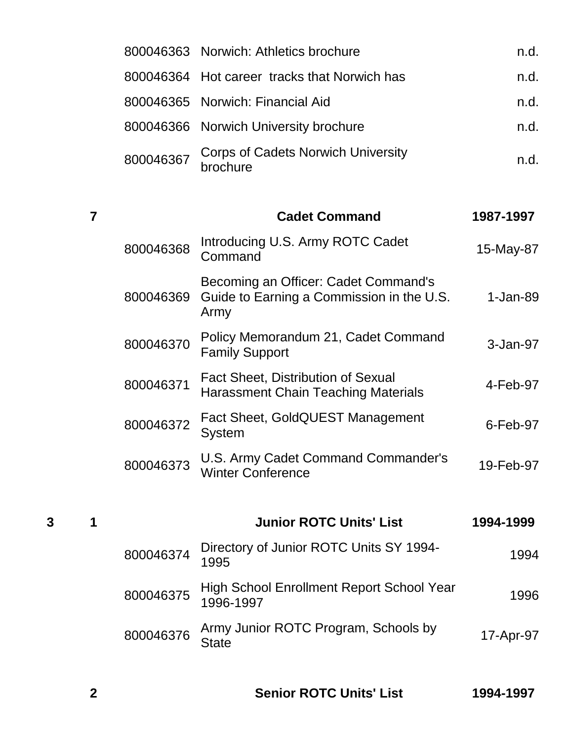|           | 800046363 Norwich: Athletics brochure          | n.d. |
|-----------|------------------------------------------------|------|
|           | 800046364 Hot career tracks that Norwich has   | n.d. |
|           | 800046365 Norwich: Financial Aid               | n.d. |
|           | 800046366 Norwich University brochure          | n.d. |
| 800046367 | Corps of Cadets Norwich University<br>brochure | n.d. |
|           |                                                |      |

|           | <b>Cadet Command</b>                                                                      | 1987-1997    |
|-----------|-------------------------------------------------------------------------------------------|--------------|
| 800046368 | Introducing U.S. Army ROTC Cadet<br>Command                                               | 15-May-87    |
| 800046369 | Becoming an Officer: Cadet Command's<br>Guide to Earning a Commission in the U.S.<br>Army | $1 - Jan-89$ |
| 800046370 | Policy Memorandum 21, Cadet Command<br><b>Family Support</b>                              | $3 - Jan-97$ |
| 800046371 | <b>Fact Sheet, Distribution of Sexual</b><br><b>Harassment Chain Teaching Materials</b>   | 4-Feb-97     |
| 800046372 | Fact Sheet, GoldQUEST Management<br><b>System</b>                                         | $6$ -Feb-97  |
| 800046373 | U.S. Army Cadet Command Commander's<br><b>Winter Conference</b>                           | 19-Feb-97    |

| 3 |           | <b>Junior ROTC Units' List</b>                                   | 1994-1999 |
|---|-----------|------------------------------------------------------------------|-----------|
|   |           | 800046374 Directory of Junior ROTC Units SY 1994-                | 1994      |
|   |           | 800046375 High School Enrollment Report School Year<br>1996-1997 | 1996      |
|   | 800046376 | Army Junior ROTC Program, Schools by<br><b>State</b>             | 17-Apr-97 |
|   |           |                                                                  |           |

| 1994-1997 |
|-----------|
|           |